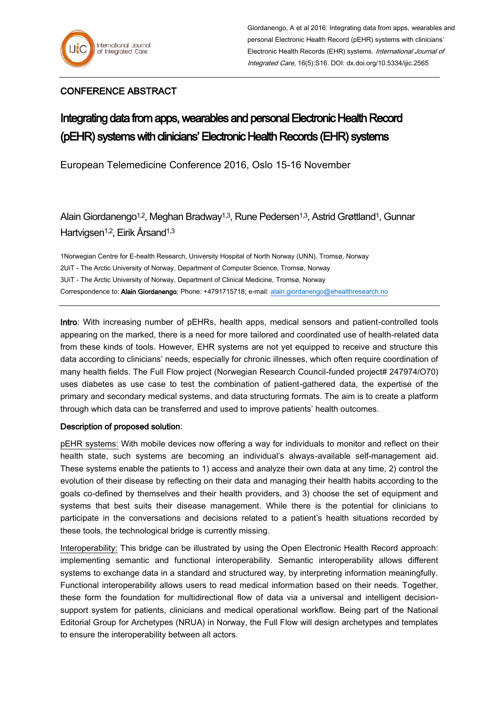## CONFERENCE ABSTRACT

## Integrating data from apps, wearables and personal Electronic Health Record (pEHR) systems with clinicians' Electronic Health Records (EHR) systems

European Telemedicine Conference 2016, Oslo 15-16 November

Alain Giordanengo<sup>1,2</sup>, Meghan Bradway<sup>1,3</sup>, Rune Pedersen<sup>1,3</sup>, Astrid Grøttland<sup>1</sup>, Gunnar Hartvigsen<sup>1,2</sup>, Eirik Årsand<sup>1,3</sup>

1Norwegian Centre for E-health Research, University Hospital of North Norway (UNN), Tromsø, Norway 2UiT - The Arctic University of Norway, Department of Computer Science, Tromsø, Norway 3UiT - The Arctic University of Norway, Department of Clinical Medicine, Tromsø, Norway Correspondence to: **Alain Giordanengo**: Phone: +4791715718; e-mail[: alain.giordanengo@ehealthresearch.no](mailto:alain.giordanengo@ehealthresearch.no)

Intro: With increasing number of pEHRs, health apps, medical sensors and patient-controlled tools appearing on the marked, there is a need for more tailored and coordinated use of health-related data from these kinds of tools. However, EHR systems are not yet equipped to receive and structure this data according to clinicians' needs, especially for chronic illnesses, which often require coordination of many health fields. The Full Flow project (Norwegian Research Council-funded project# 247974/O70) uses diabetes as use case to test the combination of patient-gathered data, the expertise of the primary and secondary medical systems, and data structuring formats. The aim is to create a platform through which data can be transferred and used to improve patients' health outcomes.

## Description of proposed solution:

pEHR systems: With mobile devices now offering a way for individuals to monitor and reflect on their health state, such systems are becoming an individual's always-available self-management aid. These systems enable the patients to 1) access and analyze their own data at any time, 2) control the evolution of their disease by reflecting on their data and managing their health habits according to the goals co-defined by themselves and their health providers, and 3) choose the set of equipment and systems that best suits their disease management. While there is the potential for clinicians to participate in the conversations and decisions related to a patient's health situations recorded by these tools, the technological bridge is currently missing.

Interoperability: This bridge can be illustrated by using the Open Electronic Health Record approach: implementing semantic and functional interoperability. Semantic interoperability allows different systems to exchange data in a standard and structured way, by interpreting information meaningfully. Functional interoperability allows users to read medical information based on their needs. Together, these form the foundation for multidirectional flow of data via a universal and intelligent decisionsupport system for patients, clinicians and medical operational workflow. Being part of the National Editorial Group for Archetypes (NRUA) in Norway, the Full Flow will design archetypes and templates to ensure the interoperability between all actors.